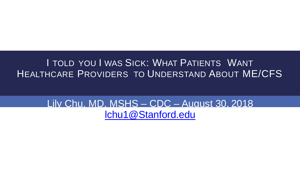#### I TOLD YOU I WAS SICK: WHAT PATIENTS WANT HEALTHCARE PROVIDERS TO UNDERSTAND ABOUT ME/CFS

#### Lily Chu, MD, MSHS – CDC – August 30, 2018 [lchu1@Stanford.edu](mailto:lchu1@Stanford.edu)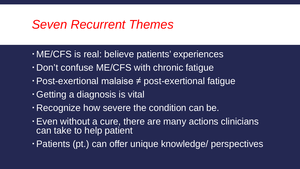### *Seven Recurrent Themes*

- ME/CFS is real: believe patients' experiences
- Don't confuse ME/CFS with chronic fatigue
- Post-exertional malaise ≠ post-exertional fatigue
- Getting a diagnosis is vital
- Recognize how severe the condition can be.
- Even without a cure, there are many actions clinicians can take to help patient
- Patients (pt.) can offer unique knowledge/ perspectives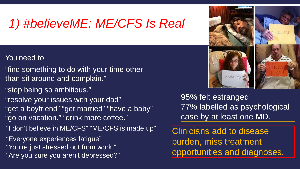# *1) #believeME: ME/CFS Is Real*

- You need to:
- "find something to do with your time other than sit around and complain."
- "stop being so ambitious."
- "resolve your issues with your dad" "get a boyfriend" "get married" "have a baby" "go on vacation." "drink more coffee." "I don't believe in ME/CFS" "ME/CFS is made up"

"Everyone experiences fatigue" "You're just stressed out from work." "Are you sure you aren't depressed?" 95% felt estranged 77% labelled as psychological case by at least one MD.

# believe Ms

Clinicians add to disease burden, miss treatment opportunities and diagnoses.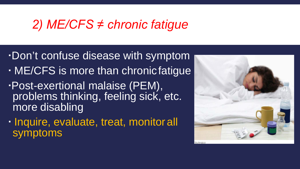## *2) ME/CFS ≠ chronic fatigue*

- Don't confuse disease with symptom
- ME/CFS is more than chronicfatigue
- Post-exertional malaise (PEM), problems thinking, feeling sick, etc. more disabling
- Inquire, evaluate, treat, monitor all symptoms

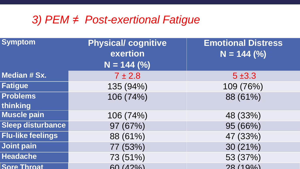#### *3) PEM ≠ Post-exertional Fatigue*

| <b>Symptom</b>           | <b>Physical/cognitive</b> | <b>Emotional Distress</b> |
|--------------------------|---------------------------|---------------------------|
|                          | exertion                  | $N = 144 (%)$             |
|                          | $N = 144 (%)$             |                           |
| <b>Median # Sx.</b>      | $7 \pm 2.8$               | $5 + 3.3$                 |
| <b>Fatigue</b>           | 135 (94%)                 | 109 (76%)                 |
| <b>Problems</b>          | 106 (74%)                 | 88 (61%)                  |
| thinking                 |                           |                           |
| <b>Muscle pain</b>       | 106 (74%)                 | 48 (33%)                  |
| <b>Sleep disturbance</b> | 97 (67%)                  | 95 (66%)                  |
| <b>Flu-like feelings</b> | 88 (61%)                  | 47 (33%)                  |
| <b>Joint pain</b>        | 77 (53%)                  | 30(21%)                   |
| <b>Headache</b>          | 73 (51%)                  | 53 (37%)                  |
| <b>Sore Throat</b>       | 60 (42%                   | 28/10%)                   |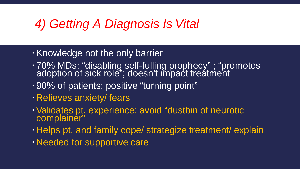# *4) Getting A Diagnosis Is Vital*

- Knowledge not the only barrier
- 70% MDs: "disabling self-fulling prophecy" ; "promotes adoption of sick role"; doesn't impact treatment
- 90% of patients: positive "turning point"
- Relieves anxiety/ fears
- Validates pt. experience: avoid "dustbin of neurotic complainėr"
- Helps pt. and family cope/ strategize treatment/ explain
- Needed for supportive care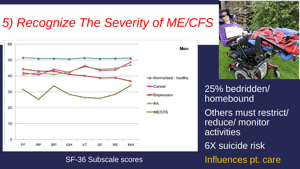# *5) Recognize The Severity of ME/CFS*



SF-36 Subscale scores



25% bedridden/ homebound Others must restrict/ reduce/ monitor activities 6X suicide risk Influences pt. care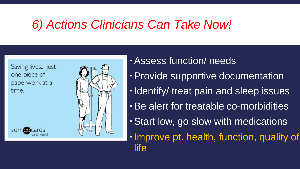# *6) Actions Clinicians Can Take Now!*

Saving lives... just one piece of paperwork at a time.

somee



Assess function/ needs Provide supportive documentation . Identify/ treat pain and sleep issues Be alert for treatable co-morbidities Start low, go slow with medications Improve pt. health, function, quality of life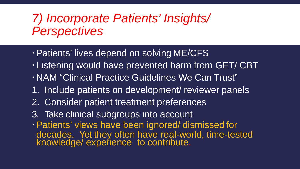## *7) Incorporate Patients' Insights/ Perspectives*

- Patients' lives depend on solving ME/CFS
- Listening would have prevented harm from GET/ CBT
- NAM "Clinical Practice Guidelines We Can Trust"
- 1. Include patients on development/ reviewer panels
- 2. Consider patient treatment preferences
- 3. Take clinical subgroups into account
- Patients' views have been ignored/ dismissed for decades. Yet they often have real-world, time-tested knowledge/ experience to contribute.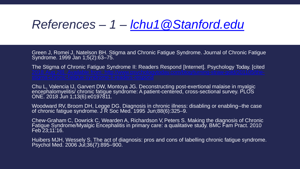### *References – 1 – [lchu1@Stanford.edu](mailto:lchu1@Stanford.edu)*

Green J, Romei J, Natelson BH. Stigma and Chronic Fatigue Syndrome. Journal of Chronic Fatigue Syndrome. 1999 Jan 1;5(2):63–75.

The Stigma of Chronic Fatigue Syndrome II: Readers Respond [Internet]. Psychology Today. [cited

Chu L, Valencia IJ, Garvert DW, Montoya JG. Deconstructing post-exertional malaise in myalgic encephalomyelitis/ chronic fatigue syndrome: A patient-centered, cross-sectional survey. PLOS ONE. 2018 Jun 1;13(6):e0197811.

Woodward RV, Broom DH, Legge DG. Diagnosis in chronic illness: disabling or enabling--the case of chronic fatigue syndrome. J R Soc Med. 1995 Jun;88(6):325–9.

Chew-Graham C, Dowrick C, Wearden A, Richardson V, Peters S. Making the diagnosis of Chronic<br>Fatigue Syndrome/Myalgic Encephalitis in primary care: a qualitative study. BMC Fam Pract. 2010 Feb 23;11:16.

Huibers MJH, Wessely S. The act of diagnosis: pros and cons of labelling chronic fatigue syndrome. Psychol Med. 2006 Jul;36(7):895-900.